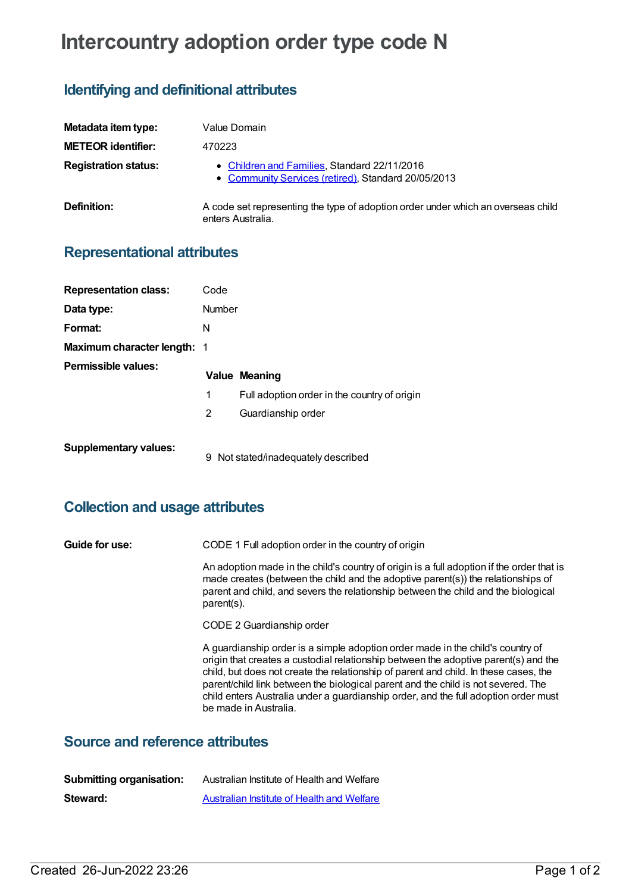# **Intercountry adoption order type code N**

## **Identifying and definitional attributes**

| Metadata item type:         | Value Domain                                                                                          |
|-----------------------------|-------------------------------------------------------------------------------------------------------|
| <b>METEOR identifier:</b>   | 470223                                                                                                |
| <b>Registration status:</b> | • Children and Families, Standard 22/11/2016<br>• Community Services (retired), Standard 20/05/2013   |
| <b>Definition:</b>          | A code set representing the type of adoption order under which an overseas child<br>enters Australia. |

#### **Representational attributes**

| <b>Representation class:</b>       | Code   |                                              |
|------------------------------------|--------|----------------------------------------------|
| Data type:                         | Number |                                              |
| Format:                            | N      |                                              |
| <b>Maximum character length: 1</b> |        |                                              |
| Permissible values:                |        | <b>Value Meaning</b>                         |
|                                    | 1      | Full adoption order in the country of origin |
|                                    | 2      | Guardianship order                           |
| <b>Supplementary values:</b>       | 9      | Not stated/inadequately described            |

## **Collection and usage attributes**

| Guide for use: | CODE 1 Full adoption order in the country of origin                                                                                                                                                                                                                                                                                                                                                                                                                |  |
|----------------|--------------------------------------------------------------------------------------------------------------------------------------------------------------------------------------------------------------------------------------------------------------------------------------------------------------------------------------------------------------------------------------------------------------------------------------------------------------------|--|
|                | An adoption made in the child's country of origin is a full adoption if the order that is<br>made creates (between the child and the adoptive parent(s)) the relationships of<br>parent and child, and severs the relationship between the child and the biological<br>parent(s).                                                                                                                                                                                  |  |
|                | CODE 2 Guardianship order                                                                                                                                                                                                                                                                                                                                                                                                                                          |  |
|                | A guardianship order is a simple adoption order made in the child's country of<br>origin that creates a custodial relationship between the adoptive parent(s) and the<br>child, but does not create the relationship of parent and child. In these cases, the<br>parent/child link between the biological parent and the child is not severed. The<br>child enters Australia under a guardianship order, and the full adoption order must<br>be made in Australia. |  |

### **Source and reference attributes**

| <b>Submitting organisation:</b> | Australian Institute of Health and Welfare        |
|---------------------------------|---------------------------------------------------|
| Steward:                        | <b>Australian Institute of Health and Welfare</b> |